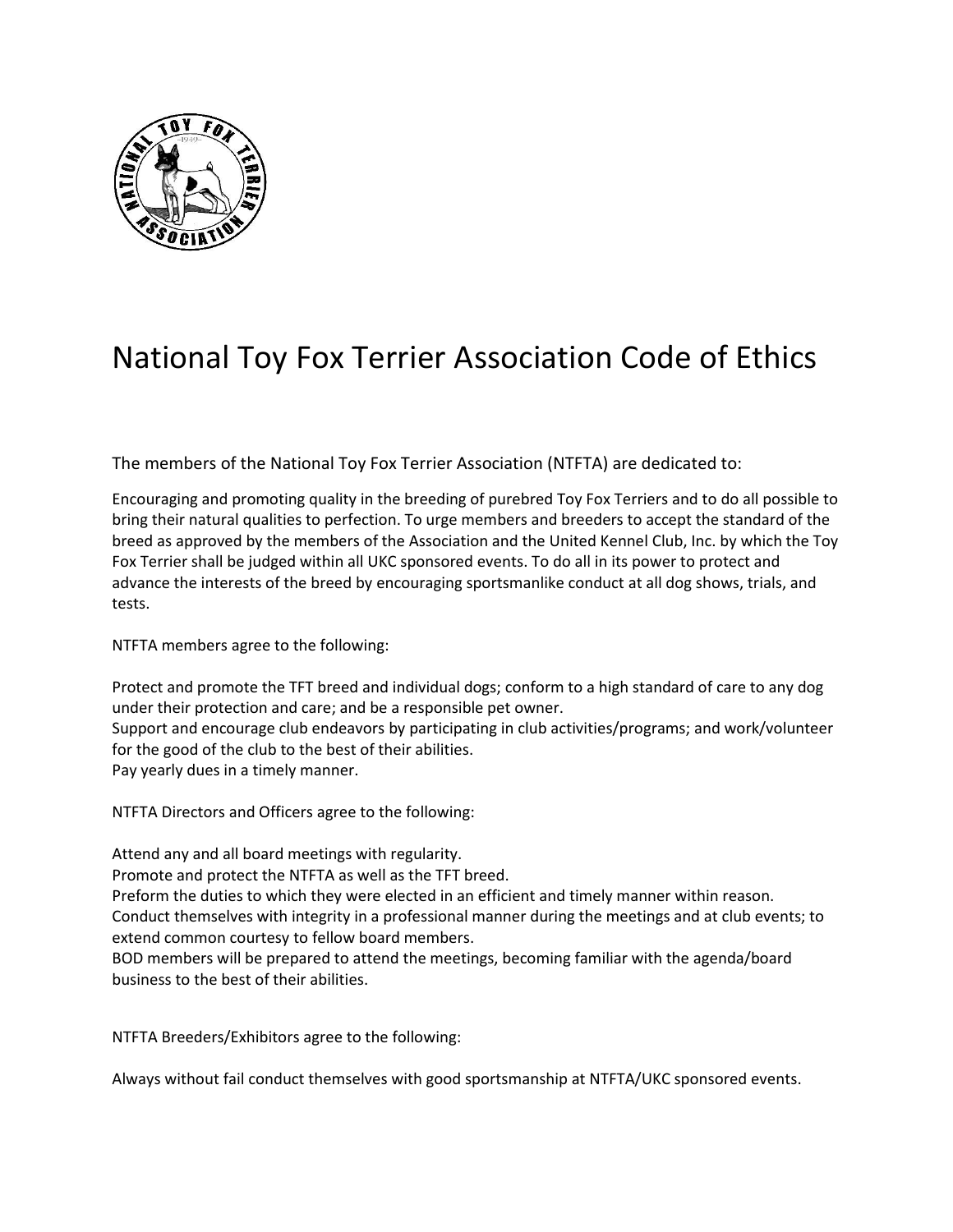

## National Toy Fox Terrier Association Code of Ethics

The members of the National Toy Fox Terrier Association (NTFTA) are dedicated to:

Encouraging and promoting quality in the breeding of purebred Toy Fox Terriers and to do all possible to bring their natural qualities to perfection. To urge members and breeders to accept the standard of the breed as approved by the members of the Association and the United Kennel Club, Inc. by which the Toy Fox Terrier shall be judged within all UKC sponsored events. To do all in its power to protect and advance the interests of the breed by encouraging sportsmanlike conduct at all dog shows, trials, and tests.

NTFTA members agree to the following:

Protect and promote the TFT breed and individual dogs; conform to a high standard of care to any dog under their protection and care; and be a responsible pet owner. Support and encourage club endeavors by participating in club activities/programs; and work/volunteer for the good of the club to the best of their abilities. Pay yearly dues in a timely manner.

NTFTA Directors and Officers agree to the following:

Attend any and all board meetings with regularity. Promote and protect the NTFTA as well as the TFT breed. Preform the duties to which they were elected in an efficient and timely manner within reason. Conduct themselves with integrity in a professional manner during the meetings and at club events; to extend common courtesy to fellow board members. BOD members will be prepared to attend the meetings, becoming familiar with the agenda/board business to the best of their abilities.

NTFTA Breeders/Exhibitors agree to the following:

Always without fail conduct themselves with good sportsmanship at NTFTA/UKC sponsored events.